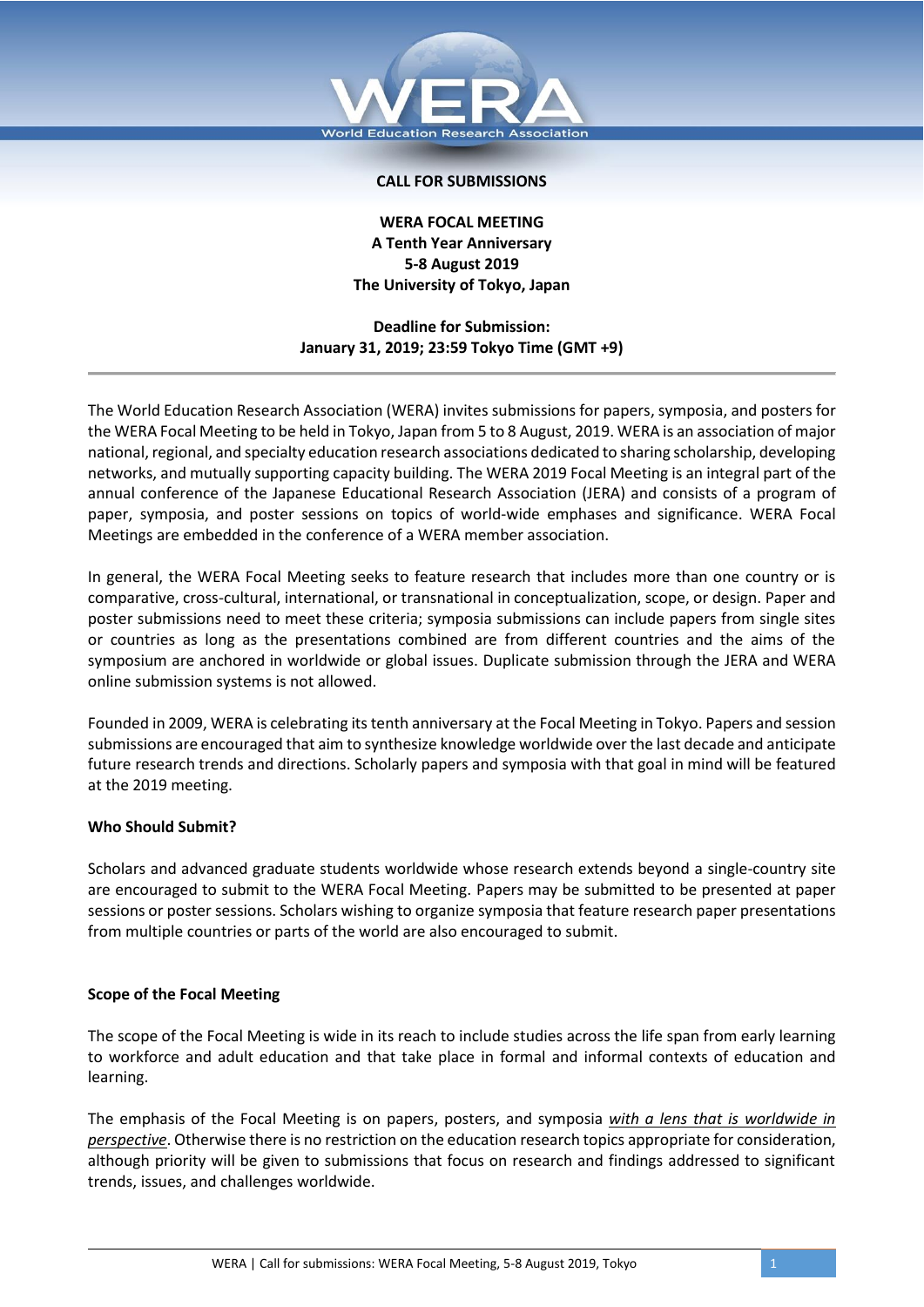

## **CALL FOR SUBMISSIONS**

# **WERA FOCAL MEETING A Tenth Year Anniversary 5-8 August 2019 The University of Tokyo, Japan**

**Deadline for Submission: January 31, 2019; 23:59 Tokyo Time (GMT +9)**

The World Education Research Association (WERA) invites submissions for papers, symposia, and posters for the WERA Focal Meeting to be held in Tokyo, Japan from 5 to 8 August, 2019. WERA is an association of major national, regional, and specialty education research associations dedicated to sharing scholarship, developing networks, and mutually supporting capacity building. The WERA 2019 Focal Meeting is an integral part of the annual conference of the Japanese Educational Research Association (JERA) and consists of a program of paper, symposia, and poster sessions on topics of world-wide emphases and significance. WERA Focal Meetings are embedded in the conference of a WERA member association.

In general, the WERA Focal Meeting seeks to feature research that includes more than one country or is comparative, cross-cultural, international, or transnational in conceptualization, scope, or design. Paper and poster submissions need to meet these criteria; symposia submissions can include papers from single sites or countries as long as the presentations combined are from different countries and the aims of the symposium are anchored in worldwide or global issues. Duplicate submission through the JERA and WERA online submission systems is not allowed.

Founded in 2009, WERA is celebrating its tenth anniversary at the Focal Meeting in Tokyo. Papers and session submissions are encouraged that aim to synthesize knowledge worldwide over the last decade and anticipate future research trends and directions. Scholarly papers and symposia with that goal in mind will be featured at the 2019 meeting.

### **Who Should Submit?**

Scholars and advanced graduate students worldwide whose research extends beyond a single-country site are encouraged to submit to the WERA Focal Meeting. Papers may be submitted to be presented at paper sessions or poster sessions. Scholars wishing to organize symposia that feature research paper presentations from multiple countries or parts of the world are also encouraged to submit.

#### **Scope of the Focal Meeting**

The scope of the Focal Meeting is wide in its reach to include studies across the life span from early learning to workforce and adult education and that take place in formal and informal contexts of education and learning.

The emphasis of the Focal Meeting is on papers, posters, and symposia *with a lens that is worldwide in perspective*. Otherwise there is no restriction on the education research topics appropriate for consideration, although priority will be given to submissions that focus on research and findings addressed to significant trends, issues, and challenges worldwide.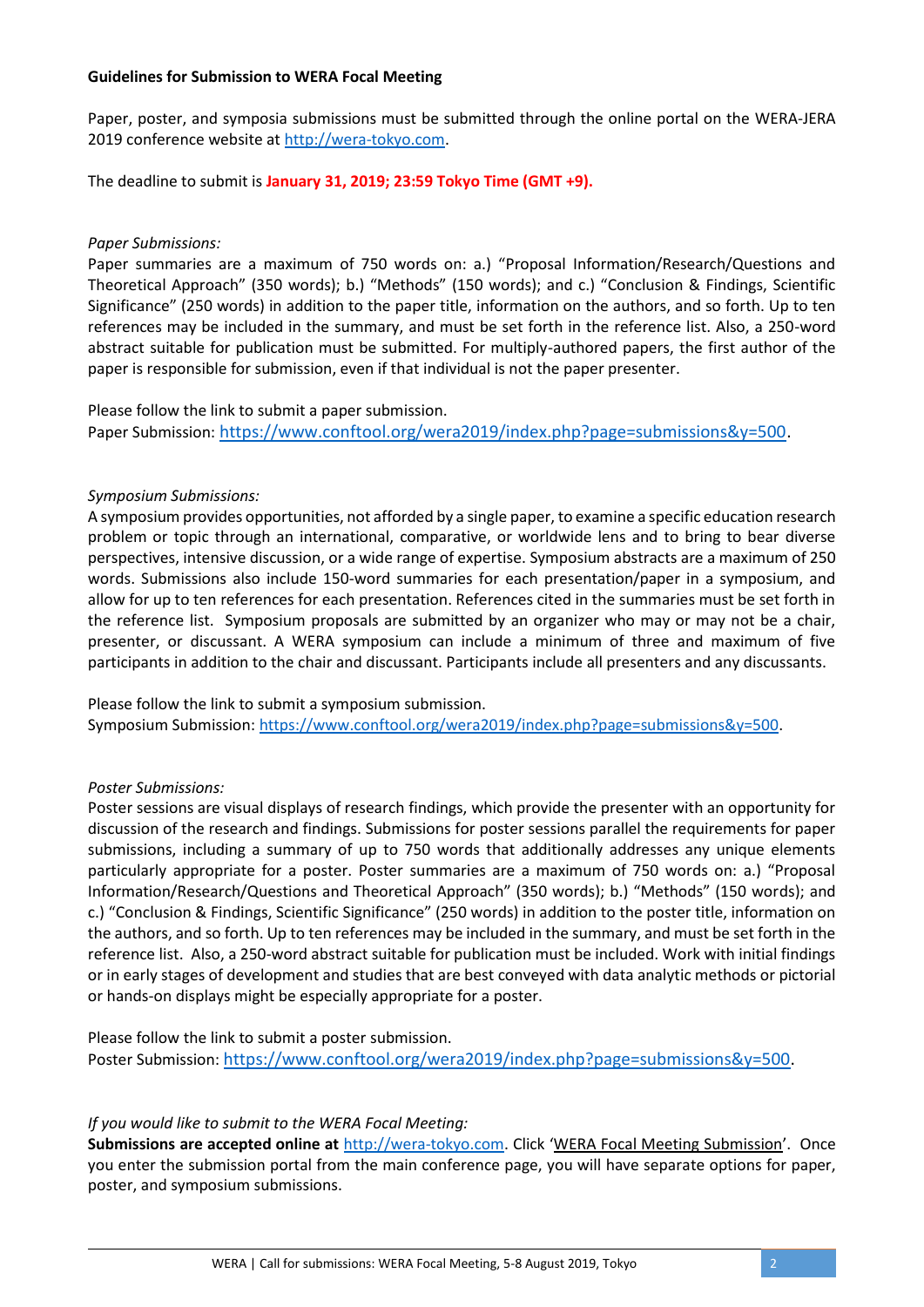## **Guidelines for Submission to WERA Focal Meeting**

Paper, poster, and symposia submissions must be submitted through the online portal on the WERA-JERA 2019 conference website at [http://wera-tokyo.com.](http://wera-tokyo.com/)

The deadline to submit is **January 31, 2019; 23:59 Tokyo Time (GMT +9).** 

## *Paper Submissions:*

Paper summaries are a maximum of 750 words on: a.) "Proposal Information/Research/Questions and Theoretical Approach" (350 words); b.) "Methods" (150 words); and c.) "Conclusion & Findings, Scientific Significance" (250 words) in addition to the paper title, information on the authors, and so forth. Up to ten references may be included in the summary, and must be set forth in the reference list. Also, a 250-word abstract suitable for publication must be submitted. For multiply-authored papers, the first author of the paper is responsible for submission, even if that individual is not the paper presenter.

Please follow the link to submit a paper submission. Paper Submission: [https://www.conftool.org/wera2019/index.php?page=submissions&y=500.](https://www.conftool.org/wera2019/index.php?page=submissions&y=500)

## *Symposium Submissions:*

A symposium provides opportunities, not afforded by a single paper, to examine a specific education research problem or topic through an international, comparative, or worldwide lens and to bring to bear diverse perspectives, intensive discussion, or a wide range of expertise. Symposium abstracts are a maximum of 250 words. Submissions also include 150-word summaries for each presentation/paper in a symposium, and allow for up to ten references for each presentation. References cited in the summaries must be set forth in the reference list. Symposium proposals are submitted by an organizer who may or may not be a chair, presenter, or discussant. A WERA symposium can include a minimum of three and maximum of five participants in addition to the chair and discussant. Participants include all presenters and any discussants.

Please follow the link to submit a symposium submission. Symposium Submission: [https://www.conftool.org/wera2019/index.php?page=submissions&y=500.](https://www.conftool.org/wera2019/index.php?page=submissions&y=500)

# *Poster Submissions:*

Poster sessions are visual displays of research findings, which provide the presenter with an opportunity for discussion of the research and findings. Submissions for poster sessions parallel the requirements for paper submissions, including a summary of up to 750 words that additionally addresses any unique elements particularly appropriate for a poster. Poster summaries are a maximum of 750 words on: a.) "Proposal Information/Research/Questions and Theoretical Approach" (350 words); b.) "Methods" (150 words); and c.) "Conclusion & Findings, Scientific Significance" (250 words) in addition to the poster title, information on the authors, and so forth. Up to ten references may be included in the summary, and must be set forth in the reference list. Also, a 250-word abstract suitable for publication must be included. Work with initial findings or in early stages of development and studies that are best conveyed with data analytic methods or pictorial or hands-on displays might be especially appropriate for a poster.

Please follow the link to submit a poster submission. Poster Submission: [https://www.conftool.org/wera2019/index.php?page=submissions&y=500.](https://www.conftool.org/wera2019/index.php?page=submissions&y=500)

### *If you would like to submit to the WERA Focal Meeting:*

**Submissions are accepted online at** [http://wera-tokyo.com.](http://wera-tokyo.com/) Click 'WERA Focal Meeting Submission'. Once you enter the submission portal from the main conference page, you will have separate options for paper, poster, and symposium submissions.